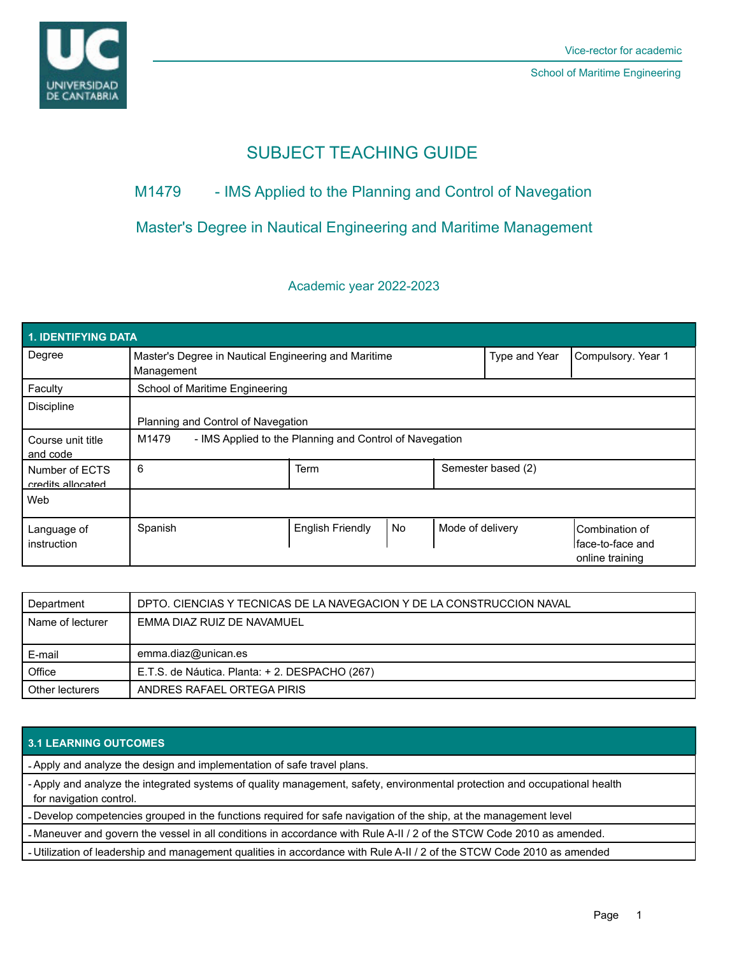

# SUBJECT TEACHING GUIDE

# M1479 - IMS Applied to the Planning and Control of Navegation

## Master's Degree in Nautical Engineering and Maritime Management

## Academic year 2022-2023

| <b>1. IDENTIFYING DATA</b>          |                                                                    |                         |    |                  |                    |                                                                |
|-------------------------------------|--------------------------------------------------------------------|-------------------------|----|------------------|--------------------|----------------------------------------------------------------|
| Degree                              | Master's Degree in Nautical Engineering and Maritime<br>Management |                         |    |                  | Type and Year      | Compulsory. Year 1                                             |
| Faculty                             | School of Maritime Engineering                                     |                         |    |                  |                    |                                                                |
| <b>Discipline</b>                   | Planning and Control of Navegation                                 |                         |    |                  |                    |                                                                |
| Course unit title<br>and code       | - IMS Applied to the Planning and Control of Navegation<br>M1479   |                         |    |                  |                    |                                                                |
| Number of ECTS<br>credits allocated | 6                                                                  | Term                    |    |                  | Semester based (2) |                                                                |
| Web                                 |                                                                    |                         |    |                  |                    |                                                                |
| Language of<br>instruction          | Spanish                                                            | <b>English Friendly</b> | No | Mode of delivery |                    | <b>ICombination of</b><br>Iface-to-face and<br>online training |

| I Department       | DPTO. CIENCIAS Y TECNICAS DE LA NAVEGACIÓN Y DE LA CONSTRUCCIÓN NAVAL |  |
|--------------------|-----------------------------------------------------------------------|--|
| l Name of lecturer | EMMA DIAZ RUIZ DE NAVAMUEL                                            |  |
|                    |                                                                       |  |
| E-mail             | emma.diaz@unican.es                                                   |  |
| Office             | E.T.S. de Náutica. Planta: + 2. DESPACHO (267)                        |  |
| Other lecturers    | ANDRES RAFAEL ORTEGA PIRIS                                            |  |

### **3.1 LEARNING OUTCOMES**

- Apply and analyze the design and implementation of safe travel plans.

- Apply and analyze the integrated systems of quality management, safety, environmental protection and occupational health for navigation control.

- Develop competencies grouped in the functions required for safe navigation of the ship, at the management level

- Maneuver and govern the vessel in all conditions in accordance with Rule A-II / 2 of the STCW Code 2010 as amended.

- Utilization of leadership and management qualities in accordance with Rule A-II / 2 of the STCW Code 2010 as amended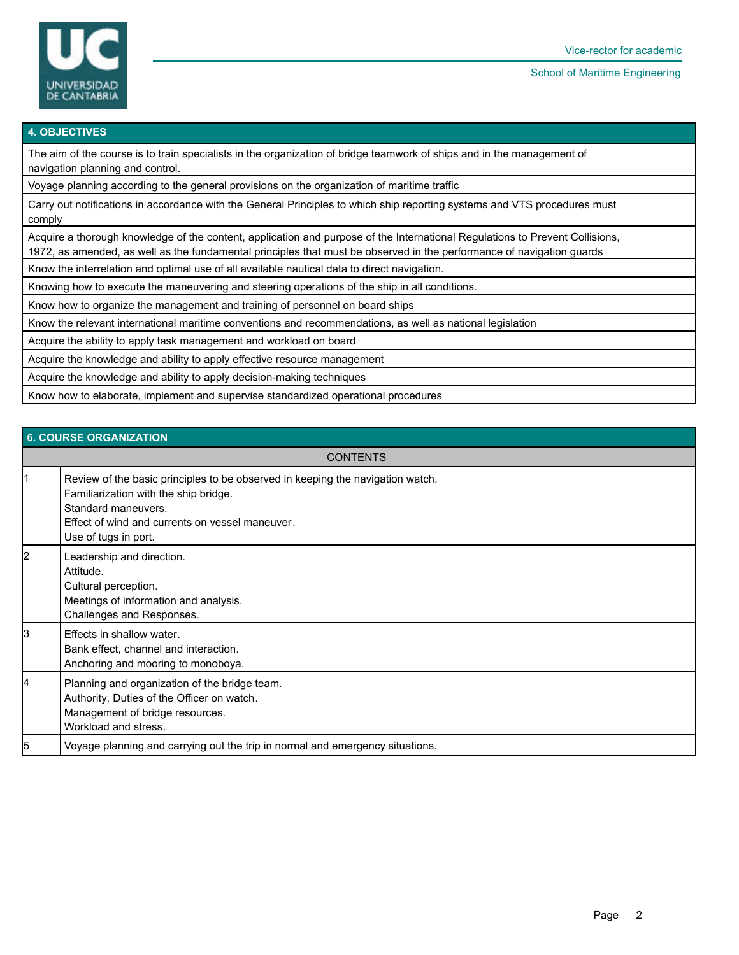

#### School of Maritime Engineering

#### **4. OBJECTIVES**

The aim of the course is to train specialists in the organization of bridge teamwork of ships and in the management of navigation planning and control.

Voyage planning according to the general provisions on the organization of maritime traffic

Carry out notifications in accordance with the General Principles to which ship reporting systems and VTS procedures must comply

Acquire a thorough knowledge of the content, application and purpose of the International Regulations to Prevent Collisions, 1972, as amended, as well as the fundamental principles that must be observed in the performance of navigation guards

Know the interrelation and optimal use of all available nautical data to direct navigation.

Knowing how to execute the maneuvering and steering operations of the ship in all conditions.

Know how to organize the management and training of personnel on board ships

Know the relevant international maritime conventions and recommendations, as well as national legislation

Acquire the ability to apply task management and workload on board

Acquire the knowledge and ability to apply effective resource management

Acquire the knowledge and ability to apply decision-making techniques

Know how to elaborate, implement and supervise standardized operational procedures

|    | <b>6. COURSE ORGANIZATION</b>                                                                                                                                                                                             |  |  |  |
|----|---------------------------------------------------------------------------------------------------------------------------------------------------------------------------------------------------------------------------|--|--|--|
|    | <b>CONTENTS</b>                                                                                                                                                                                                           |  |  |  |
| 1  | Review of the basic principles to be observed in keeping the navigation watch.<br>Familiarization with the ship bridge.<br>Standard maneuvers.<br>Effect of wind and currents on vessel maneuver.<br>Use of tugs in port. |  |  |  |
| 12 | Leadership and direction.<br>Attitude.<br>Cultural perception.<br>Meetings of information and analysis.<br>Challenges and Responses.                                                                                      |  |  |  |
| l3 | Effects in shallow water.<br>Bank effect, channel and interaction.<br>Anchoring and mooring to monoboya.                                                                                                                  |  |  |  |
| 14 | Planning and organization of the bridge team.<br>Authority. Duties of the Officer on watch.<br>Management of bridge resources.<br>Workload and stress.                                                                    |  |  |  |
| l5 | Voyage planning and carrying out the trip in normal and emergency situations.                                                                                                                                             |  |  |  |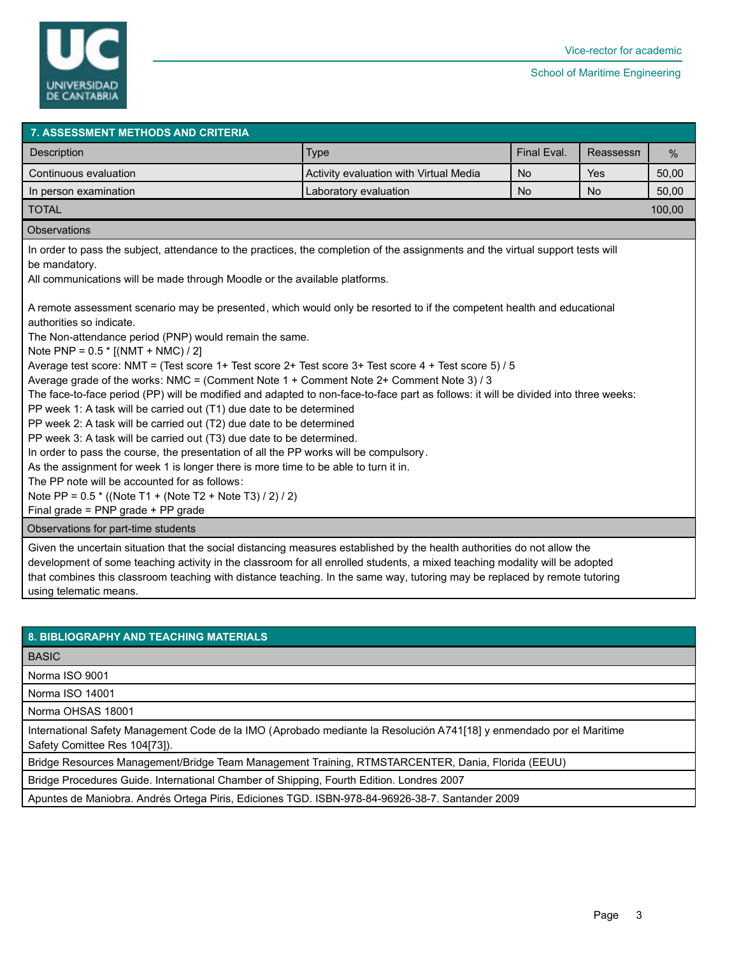

| 7. ASSESSMENT METHODS AND CRITERIA                                                                                                                                                                                                                                                                                                                                                                                                                                                                                                                                                                                                                                                                                                                                                                                                                                                                                                                                                                                                                                                                                                                                                                                                                                                                                                                                                                                                    |                                        |           |           |       |  |
|---------------------------------------------------------------------------------------------------------------------------------------------------------------------------------------------------------------------------------------------------------------------------------------------------------------------------------------------------------------------------------------------------------------------------------------------------------------------------------------------------------------------------------------------------------------------------------------------------------------------------------------------------------------------------------------------------------------------------------------------------------------------------------------------------------------------------------------------------------------------------------------------------------------------------------------------------------------------------------------------------------------------------------------------------------------------------------------------------------------------------------------------------------------------------------------------------------------------------------------------------------------------------------------------------------------------------------------------------------------------------------------------------------------------------------------|----------------------------------------|-----------|-----------|-------|--|
| Description                                                                                                                                                                                                                                                                                                                                                                                                                                                                                                                                                                                                                                                                                                                                                                                                                                                                                                                                                                                                                                                                                                                                                                                                                                                                                                                                                                                                                           | Final Eval.<br><b>Type</b>             |           | Reassessn | $\%$  |  |
| Continuous evaluation                                                                                                                                                                                                                                                                                                                                                                                                                                                                                                                                                                                                                                                                                                                                                                                                                                                                                                                                                                                                                                                                                                                                                                                                                                                                                                                                                                                                                 | Activity evaluation with Virtual Media | <b>No</b> | Yes       | 50,00 |  |
| In person examination                                                                                                                                                                                                                                                                                                                                                                                                                                                                                                                                                                                                                                                                                                                                                                                                                                                                                                                                                                                                                                                                                                                                                                                                                                                                                                                                                                                                                 | Laboratory evaluation                  | <b>No</b> | <b>No</b> | 50,00 |  |
| <b>TOTAL</b>                                                                                                                                                                                                                                                                                                                                                                                                                                                                                                                                                                                                                                                                                                                                                                                                                                                                                                                                                                                                                                                                                                                                                                                                                                                                                                                                                                                                                          | 100,00                                 |           |           |       |  |
| Observations                                                                                                                                                                                                                                                                                                                                                                                                                                                                                                                                                                                                                                                                                                                                                                                                                                                                                                                                                                                                                                                                                                                                                                                                                                                                                                                                                                                                                          |                                        |           |           |       |  |
| In order to pass the subject, attendance to the practices, the completion of the assignments and the virtual support tests will<br>be mandatory.<br>All communications will be made through Moodle or the available platforms.<br>A remote assessment scenario may be presented, which would only be resorted to if the competent health and educational<br>authorities so indicate.<br>The Non-attendance period (PNP) would remain the same.<br>Note PNP = $0.5 * [(NMT + NMC) / 2]$<br>Average test score: NMT = (Test score 1+ Test score 2+ Test score 3+ Test score 4 + Test score 5) / 5<br>Average grade of the works: NMC = (Comment Note 1 + Comment Note 2+ Comment Note 3) / 3<br>The face-to-face period (PP) will be modified and adapted to non-face-to-face part as follows: it will be divided into three weeks:<br>PP week 1: A task will be carried out (T1) due date to be determined<br>PP week 2: A task will be carried out (T2) due date to be determined<br>PP week 3: A task will be carried out (T3) due date to be determined.<br>In order to pass the course, the presentation of all the PP works will be compulsory.<br>As the assignment for week 1 is longer there is more time to be able to turn it in.<br>The PP note will be accounted for as follows:<br>Note PP = 0.5 * ((Note T1 + (Note T2 + Note T3) / 2) / 2)<br>Final grade = PNP grade + PP grade<br>Observations for part-time students |                                        |           |           |       |  |
|                                                                                                                                                                                                                                                                                                                                                                                                                                                                                                                                                                                                                                                                                                                                                                                                                                                                                                                                                                                                                                                                                                                                                                                                                                                                                                                                                                                                                                       |                                        |           |           |       |  |
| Given the uncertain situation that the social distancing measures established by the health authorities do not allow the<br>development of some teaching activity in the classroom for all enrolled students, a mixed teaching modality will be adopted<br>that combines this classroom teaching with distance teaching. In the same way, tutoring may be replaced by remote tutoring<br>using telematic means.                                                                                                                                                                                                                                                                                                                                                                                                                                                                                                                                                                                                                                                                                                                                                                                                                                                                                                                                                                                                                       |                                        |           |           |       |  |

| <b>8. BIBLIOGRAPHY AND TEACHING MATERIALS</b>                                                                                                         |
|-------------------------------------------------------------------------------------------------------------------------------------------------------|
| <b>BASIC</b>                                                                                                                                          |
| Norma ISO 9001                                                                                                                                        |
| Norma ISO 14001                                                                                                                                       |
| Norma OHSAS 18001                                                                                                                                     |
| International Safety Management Code de la IMO (Aprobado mediante la Resolución A741[18] y enmendado por el Maritime<br>Safety Comittee Res 104[73]). |
| Bridge Resources Management/Bridge Team Management Training, RTMSTARCENTER, Dania, Florida (EEUU)                                                     |
| Bridge Procedures Guide. International Chamber of Shipping, Fourth Edition. Londres 2007                                                              |
| Apuntes de Maniobra. Andrés Ortega Piris, Ediciones TGD. ISBN-978-84-96926-38-7. Santander 2009                                                       |